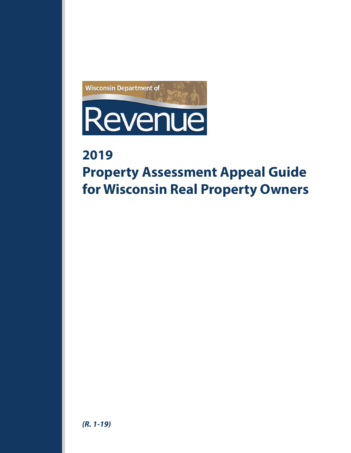

# **2019**

# **Property Assessment Appeal Guide for Wisconsin Real Property Owners**

# *(R. 1-19)*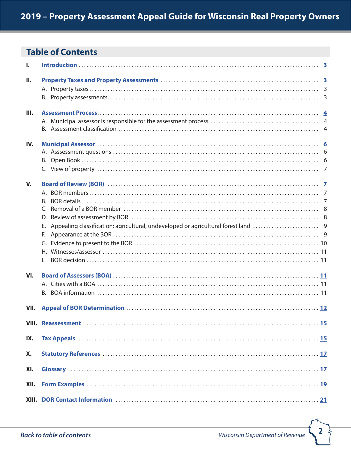# <span id="page-1-0"></span>**Table of Contents**

| ı.           |                      |  |
|--------------|----------------------|--|
| П.           |                      |  |
| Ш.           |                      |  |
| IV.          |                      |  |
| $V_{\rm{A}}$ | B.<br>Е.<br>F.<br>Н. |  |
| VI.          |                      |  |
| VII.         |                      |  |
|              |                      |  |
| IX.          |                      |  |
| X.           |                      |  |
| XI.          |                      |  |
| XII.         |                      |  |
|              |                      |  |

 $\overline{2}$ è,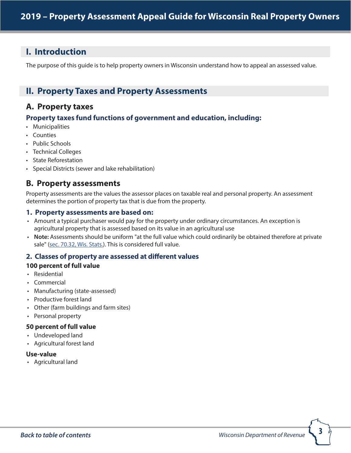# <span id="page-2-0"></span>**I. Introduction**

The purpose of this guide is to help property owners in Wisconsin understand how to appeal an assessed value.

# <span id="page-2-1"></span>**II. Property Taxes and Property Assessments**

# **A. Property taxes**

# **Property taxes fund functions of government and education, including:**

- Municipalities
- Counties
- Public Schools
- Technical Colleges
- State Reforestation
- Special Districts (sewer and lake rehabilitation)

# **B. Property assessments**

Property assessments are the values the assessor places on taxable real and personal property. An assessment determines the portion of property tax that is due from the property.

### **1. Property assessments are based on:**

- Amount a typical purchaser would pay for the property under ordinary circumstances. An exception is agricultural property that is assessed based on its value in an agricultural use
- **Note:** Assessments should be uniform "at the full value which could ordinarily be obtained therefore at private sale" (s[ec. 70.32, Wis. Stats.\)](http://docs.legis.wisconsin.gov/statutes/statutes/70/32). This is considered full value.

### **2. Classes of property are assessed at different values**

### **100 percent of full value**

- Residential
- Commercial
- Manufacturing (state-assessed)
- Productive forest land
- Other (farm buildings and farm sites)
- Personal property

### **50 percent of full value**

- Undeveloped land
- Agricultural forest land

### **Use-value**

• Agricultural land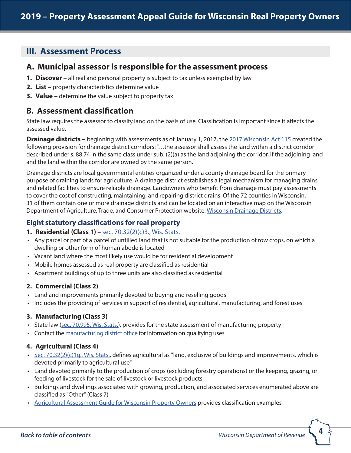# <span id="page-3-0"></span>**III. Assessment Process**

# **A. Municipal assessor is responsible for the assessment process**

- **1. Discover** all real and personal property is subject to tax unless exempted by law
- **2. List –** property characteristics determine value
- **3. Value –** determine the value subject to property tax

# **B. Assessment classification**

State law requires the assessor to classify land on the basis of use. Classification is important since it affects the assessed value.

**Drainage districts** – beginning with assessments as of January 1, 2017, the [2017 Wisconsin Act 115](https://docs.legis.wisconsin.gov/2017/related/acts/115.pdf) created the following provision for drainage district corridors: "…the assessor shall assess the land within a district corridor described under s. 88.74 in the same class under sub. (2)(a) as the land adjoining the corridor, if the adjoining land and the land within the corridor are owned by the same person."

Drainage districts are local governmental entities organized under a county drainage board for the primary purpose of draining lands for agriculture. A drainage district establishes a legal mechanism for managing drains and related facilities to ensure reliable drainage. Landowners who benefit from drainage must pay assessments to cover the cost of constructing, maintaining, and repairing district drains. Of the 72 counties in Wisconsin, 31 of them contain one or more drainage districts and can be located on an interactive map on the Wisconsin Department of Agriculture, Trade, and Consumer Protection website: [Wisconsin Drainage Districts.](https://datcpgis.wi.gov/maps/?viewer=dd)

# **Eight statutory classifications for real property**

- **1. Residential (Class 1)** [sec. 70.32\(2\)\(c\)3., Wis. Stats.](http://docs.legis.wisconsin.gov/statutes/statutes/70/32/2/c/3)
- Any parcel or part of a parcel of untilled land that is not suitable for the production of row crops, on which a dwelling or other form of human abode is located
- Vacant land where the most likely use would be for residential development
- Mobile homes assessed as real property are classified as residential
- Apartment buildings of up to three units are also classified as residential

### **2. Commercial (Class 2)**

- Land and improvements primarily devoted to buying and reselling goods
- Includes the providing of services in support of residential, agricultural, manufacturing, and forest uses

### **3. Manufacturing (Class 3)**

- State law [\(sec. 70.995, Wis. Stats.](http://docs.legis.wisconsin.gov/statutes/statutes/70/995)), provides for the state assessment of manufacturing property
- Contact the [manufacturing district office](https://www.revenue.wi.gov/Pages/Contact/slfbmta.aspx) for information on qualifying uses

### **4. Agricultural (Class 4)**

- [Sec. 70.32\(2\)\(c\)1g., Wis. Stats.](http://docs.legis.wisconsin.gov/statutes/statutes/70/32/2/c/1g), defines agricultural as "land, exclusive of buildings and improvements, which is devoted primarily to agricultural use"
- Land devoted primarily to the production of crops (excluding forestry operations) or the keeping, grazing, or feeding of livestock for the sale of livestock or livestock products
- Buildings and dwellings associated with growing, production, and associated services enumerated above are classified as "Other" (Class 7)
- [Agricultural Assessment Guide](https://www.revenue.wi.gov/Pages/HTML/govpub.aspx#manufacturing) for Wisconsin Property Owners provides classification examples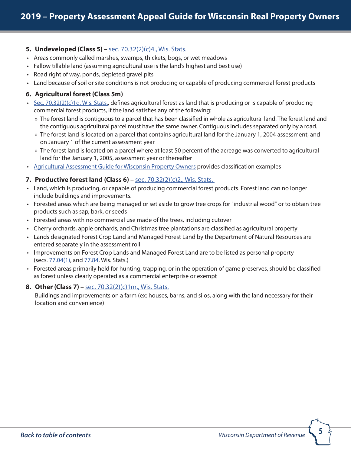### **5. Undeveloped (Class 5) –** [sec. 70.32\(2\)\(c\)4., Wis. Stats.](http://docs.legis.wisconsin.gov/statutes/statutes/70/32/2/c/4)

- Areas commonly called marshes, swamps, thickets, bogs, or wet meadows
- Fallow tillable land (assuming agricultural use is the land's highest and best use)
- Road right of way, ponds, depleted gravel pits
- Land because of soil or site conditions is not producing or capable of producing commercial forest products

### **6. Agricultural forest (Class 5m)**

- $\cdot$  [Sec. 70.32\(2\)\(c\)1d, Wis. Stats.](http://docs.legis.wisconsin.gov/statutes/statutes/70/32/2/c/1d), defines agricultural forest as land that is producing or is capable of producing commercial forest products, if the land satisfies any of the following:
	- » The forest land is contiguous to a parcel that has been classified in whole as agricultural land. The forest land and the contiguous agricultural parcel must have the same owner. Contiguous includes separated only by a road.
	- » The forest land is located on a parcel that contains agricultural land for the January 1, 2004 assessment, and on January 1 of the current assessment year
	- » The forest land is located on a parcel where at least 50 percent of the acreage was converted to agricultural land for the January 1, 2005, assessment year or thereafter
- [Agricultural Assessment Guide](https://www.revenue.wi.gov/Pages/HTML/govpub.aspx#manufacturing) for Wisconsin Property Owners provides classification examples

### **7. Productive forest land (Class 6) –** [sec. 70.32\(2\)\(c\)2., Wis. Stats.](http://docs.legis.wisconsin.gov/statutes/statutes/70/32/2/c/2)

- Land, which is producing, or capable of producing commercial forest products. Forest land can no longer include buildings and improvements.
- Forested areas which are being managed or set aside to grow tree crops for "industrial wood" or to obtain tree products such as sap, bark, or seeds
- Forested areas with no commercial use made of the trees, including cutover
- Cherry orchards, apple orchards, and Christmas tree plantations are classified as agricultural property
- Lands designated Forest Crop Land and Managed Forest Land by the Department of Natural Resources are entered separately in the assessment roll
- Improvements on Forest Crop Lands and Managed Forest Land are to be listed as personal property (secs. [77.04\(1\),](http://docs.legis.wisconsin.gov/statutes/statutes/77/I/04/1) and [77.84,](http://docs.legis.wisconsin.gov/statutes/statutes/77/VI/84) Wis. Stats.)
- Forested areas primarily held for hunting, trapping, or in the operation of game preserves, should be classified as forest unless clearly operated as a commercial enterprise or exempt

### **8. Other (Class 7) –** [sec. 70.32\(2\)\(c\)1m., Wis. Stats.](http://docs.legis.wisconsin.gov/statutes/statutes/70/32/2/c/1m)

Buildings and improvements on a farm (ex: houses, barns, and silos, along with the land necessary for their location and convenience)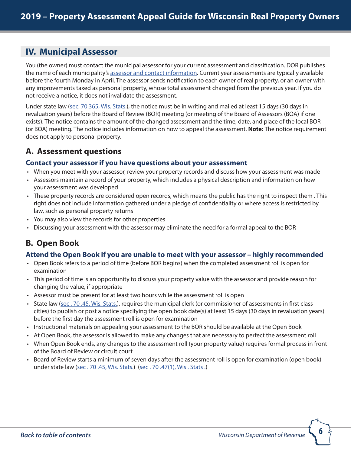# <span id="page-5-0"></span>**IV. Municipal Assessor**

You (the owner) must contact the municipal assessor for your current assessment and classification. DOR publishes the name of each municipality's [assessor and contact information.](https://www.revenue.wi.gov/Pages/HTML/govpub.aspx#property) Current year assessments are typically available before the fourth Monday in April. The assessor sends notification to each owner of real property, or an owner with any improvements taxed as personal property, whose total assessment changed from the previous year. If you do not receive a notice, it does not invalidate the assessment.

Under state law ([sec. 70.365, Wis. Stats.\)](http://docs.legis.wisconsin.gov/statutes/statutes/70/365), the notice must be in writing and mailed at least 15 days (30 days in revaluation years) before the Board of Review (BOR) meeting (or meeting of the Board of Assessors (BOA) if one exists). The notice contains the amount of the changed assessment and the time, date, and place of the local BOR (or BOA) meeting. The notice includes information on how to appeal the assessment. **Note:** The notice requirement does not apply to personal property.

# **A. Assessment questions**

### **Contact your assessor if you have questions about your assessment**

- When you meet with your assessor, review your property records and discuss how your assessment was made
- Assessors maintain a record of your property, which includes a physical description and information on how your assessment was developed
- These property records are considered open records, which means the public has the right to inspect them . This right does not include information gathered under a pledge of confidentiality or where access is restricted by law, such as personal property returns
- You may also view the records for other properties
- Discussing your assessment with the assessor may eliminate the need for a formal appeal to the BOR

# **B. Open Book**

### **Attend the Open Book if you are unable to meet with your assessor – highly recommended**

- Open Book refers to a period of time (before BOR begins) when the completed assessment roll is open for examination
- This period of time is an opportunity to discuss your property value with the assessor and provide reason for changing the value, if appropriate
- Assessor must be present for at least two hours while the assessment roll is open
- State law [\(sec . 70 .45, Wis. Stats.](https://docs.legis.wisconsin.gov/statutes/statutes/70/45)), requires the municipal clerk (or commissioner of assessments in first class cities) to publish or post a notice specifying the open book date(s) at least 15 days (30 days in revaluation years) before the first day the assessment roll is open for examination
- Instructional materials on appealing your assessment to the BOR should be available at the Open Book
- At Open Book, the assessor is allowed to make any changes that are necessary to perfect the assessment roll
- When Open Book ends, any changes to the assessment roll (your property value) requires formal process in front of the Board of Review or circuit court
- Board of Review starts a minimum of seven days after the assessment roll is open for examination (open book) under state law (sec. 70.45, Wis. Stats.) (sec. 70.47(1), Wis. Stats.)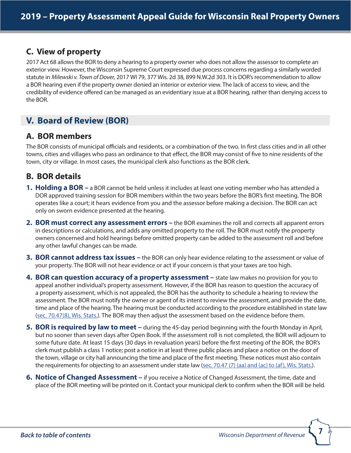# **C. View of property**

2017 Act 68 allows the BOR to deny a hearing to a property owner who does not allow the assessor to complete an exterior view. However, the Wisconsin Supreme Court expressed due process concerns regarding a similarly worded statute in *Milewski v. Town of Dover,* 2017 WI 79, 377 Wis. 2d 38, 899 N.W.2d 303. It is DOR's recommendation to allow a BOR hearing even if the property owner denied an interior or exterior view. The lack of access to view, and the credibility of evidence offered can be managed as an evidentiary issue at a BOR hearing, rather than denying access to the BOR.

# <span id="page-6-0"></span>**V. Board of Review (BOR)**

# **A. BOR members**

The BOR consists of municipal officials and residents, or a combination of the two. In first class cities and in all other towns, cities and villages who pass an ordinance to that effect, the BOR may consist of five to nine residents of the town, city or village. In most cases, the municipal clerk also functions as the BOR clerk.

# **B. BOR details**

- **1. Holding a BOR –** a BOR cannot be held unless it includes at least one voting member who has attended a DOR approved training session for BOR members within the two years before the BOR's first meeting. The BOR operates like a court; it hears evidence from you and the assessor before making a decision. The BOR can act only on sworn evidence presented at the hearing.
- **2. BOR must correct any assessment errors –** the BOR examines the roll and corrects all apparent errors in descriptions or calculations, and adds any omitted property to the roll. The BOR must notify the property owners concerned and hold hearings before omitted property can be added to the assessment roll and before any other lawful changes can be made.
- **3. BOR cannot address tax issues –** the BOR can only hear evidence relating to the assessment or value of your property. The BOR will not hear evidence or act if your concern is that your taxes are too high.
- **4. BOR can question accuracy of a property assessment –** state law makes no provision for you to appeal another individual's property assessment. However, if the BOR has reason to question the accuracy of a property assessment, which is not appealed, the BOR has the authority to schedule a hearing to review the assessment. The BOR must notify the owner or agent of its intent to review the assessment, and provide the date, time and place of the hearing. The hearing must be conducted according to the procedure established in state law ([sec. 70.47\(8\), Wis. Stats.](http://docs.legis.wisconsin.gov/statutes/statutes/70/47/8)). The BOR may then adjust the assessment based on the evidence before them.
- **5. BOR is required by law to meet –** during the 45-day period beginning with the fourth Monday in April, but no sooner than seven days after Open Book. If the assessment roll is not completed, the BOR will adjourn to some future date. At least 15 days (30 days in revaluation years) before the first meeting of the BOR, the BOR's clerk must publish a class 1 notice; post a notice in at least three public places and place a notice on the door of the town, village or city hall announcing the time and place of the first meeting. These notices must also contain the requirements for objecting to an assessment under state law [\(sec. 70.47 \(7\) \(aa\) and \(ac\) to \(af\), Wis. Stats.](http://docs.legis.wisconsin.gov/statutes/statutes/70/47/7/aa)).
- **6. Notice of Changed Assessment** if you receive a Notice of Changed Assessment, the time, date and place of the BOR meeting will be printed on it. Contact your municipal clerk to confirm when the BOR will be held.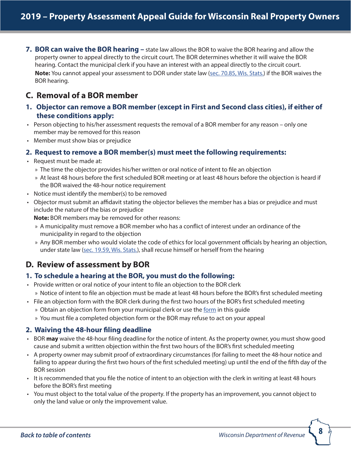**7. BOR can waive the BOR hearing –** state law allows the BOR to waive the BOR hearing and allow the property owner to appeal directly to the circuit court. The BOR determines whether it will waive the BOR hearing. Contact the municipal clerk if you have an interest with an appeal directly to the circuit court. **Note:** You cannot appeal your assessment to DOR under state law [\(sec. 70.85, Wis. Stats.\)](http://docs.legis.wisconsin.gov/statutes/statutes/70/85) if the BOR waives the BOR hearing.

# **C. Removal of a BOR member**

- **1. Objector can remove a BOR member (except in First and Second class cities), if either of these conditions apply:**
- Person objecting to his/her assessment requests the removal of a BOR member for any reason only one member may be removed for this reason
- Member must show bias or prejudice

### **2. Request to remove a BOR member(s) must meet the following requirements:**

- Request must be made at:
	- » The time the objector provides his/her written or oral notice of intent to file an objection
	- » At least 48 hours before the first scheduled BOR meeting or at least 48 hours before the objection is heard if the BOR waived the 48-hour notice requirement
- Notice must identify the member(s) to be removed
- Objector must submit an affidavit stating the objector believes the member has a bias or prejudice and must include the nature of the bias or prejudice

**Note:** BOR members may be removed for other reasons:

- » A municipality must remove a BOR member who has a conflict of interest under an ordinance of the municipality in regard to the objection
- » Any BOR member who would violate the code of ethics for local government officials by hearing an objection, under state law ([sec. 19.59, Wis. Stats.](http://docs.legis.wisconsin.gov/statutes/statutes/19/III/59)), shall recuse himself or herself from the hearing

# **D. Review of assessment by BOR**

### **1. To schedule a hearing at the BOR, you must do the following:**

- Provide written or oral notice of your intent to file an objection to the BOR clerk » Notice of intent to file an objection must be made at least 48 hours before the BOR's first scheduled meeting
- File an objection form with the BOR clerk during the first two hours of the BOR's first scheduled meeting » Obtain an objection [form](#page-19-0) from your municipal clerk or use the form in this guide
	- » You must file a completed objection form or the BOR may refuse to act on your appeal
	-

### **2. Waiving the 48-hour filing deadline**

- BOR **may** waive the 48-hour filing deadline for the notice of intent. As the property owner, you must show good cause and submit a written objection within the first two hours of the BOR's first scheduled meeting
- A property owner may submit proof of extraordinary circumstances (for failing to meet the 48-hour notice and failing to appear during the first two hours of the first scheduled meeting) up until the end of the fifth day of the BOR session
- It is recommended that you file the notice of intent to an objection with the clerk in writing at least 48 hours before the BOR's first meeting
- You must object to the total value of the property. If the property has an improvement, you cannot object to only the land value or only the improvement value.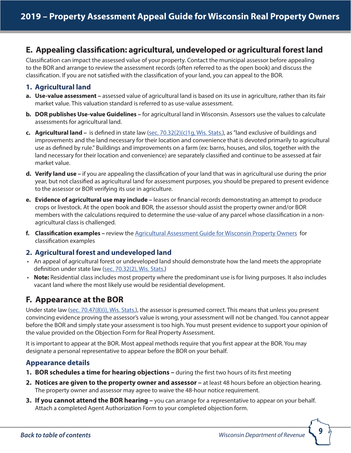# **E. Appealing classification: agricultural, undeveloped or agricultural forest land**

Classification can impact the assessed value of your property. Contact the municipal assessor before appealing to the BOR and arrange to review the assessment records (often referred to as the open book) and discuss the classification. If you are not satisfied with the classification of your land, you can appeal to the BOR.

## **1. Agricultural land**

- **a. Use-value assessment –** assessed value of agricultural land is based on its use in agriculture, rather than its fair market value. This valuation standard is referred to as use-value assessment.
- **b. DOR publishes Use-value Guidelines** for agricultural land in Wisconsin. Assessors use the values to calculate assessments for agricultural land.
- **c. Agricultural land** is defined in state law ([sec. 70.32\(2\)\(c\)1g, Wis. Stats.\)](http://docs.legis.wisconsin.gov/statutes/statutes/70/32/2/c/1g), as "land exclusive of buildings and improvements and the land necessary for their location and convenience that is devoted primarily to agricultural use as defined by rule." Buildings and improvements on a farm (ex: barns, houses, and silos, together with the land necessary for their location and convenience) are separately classified and continue to be assessed at fair market value.
- **d. Verify land use –** if you are appealing the classification of your land that was in agricultural use during the prior year, but not classified as agricultural land for assessment purposes, you should be prepared to present evidence to the assessor or BOR verifying its use in agriculture.
- **e. Evidence of agricultural use may include –** leases or financial records demonstrating an attempt to produce crops or livestock. At the open book and BOR, the assessor should assist the property owner and/or BOR members with the calculations required to determine the use-value of any parcel whose classification in a nonagricultural class is challenged.
- **f. Classification examples –** review the [Agricultural Assessment Guide](https://www.revenue.wi.gov/Pages/HTML/govpub.aspx#manufacturing) for Wisconsin Property Owners for classification examples

### **2. Agricultural forest and undeveloped land**

- An appeal of agricultural forest or undeveloped land should demonstrate how the land meets the appropriate definition under state law ([sec. 70.32\(2\), Wis. Stats.](http://docs.legis.wisconsin.gov/statutes/statutes/70/32/2/))
- **Note:** Residential class includes most property where the predominant use is for living purposes. It also includes vacant land where the most likely use would be residential development.

# **F. Appearance at the BOR**

Under state law [\(sec. 70.47\(8\)\(i\), Wis. Stats.](http://docs.legis.wisconsin.gov/statutes/statutes/70/47/8/i)), the assessor is presumed correct. This means that unless you present convincing evidence proving the assessor's value is wrong, your assessment will not be changed. You cannot appear before the BOR and simply state your assessment is too high. You must present evidence to support your opinion of the value provided on the Objection Form for Real Property Assessment.

It is important to appear at the BOR. Most appeal methods require that you first appear at the BOR. You may designate a personal representative to appear before the BOR on your behalf.

### **Appearance details**

- **1. BOR schedules a time for hearing objections –** during the first two hours of its first meeting
- **2. Notices are given to the property owner and assessor** at least 48 hours before an objection hearing. The property owner and assessor may agree to waive the 48-hour notice requirement.
- **3. If you cannot attend the BOR hearing –** you can arrange for a representative to appear on your behalf. Attach a completed Agent Authorization Form to your completed objection form.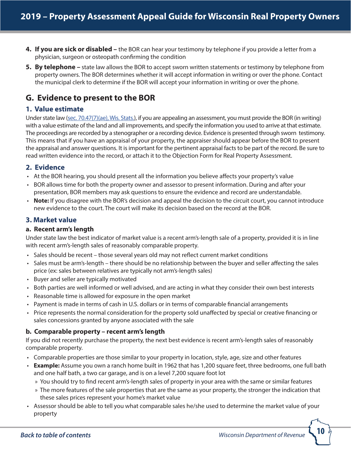- **4. If you are sick or disabled –** the BOR can hear your testimony by telephone if you provide a letter from a physician, surgeon or osteopath confirming the condition
- **5. By telephone** state law allows the BOR to accept sworn written statements or testimony by telephone from property owners. The BOR determines whether it will accept information in writing or over the phone. Contact the municipal clerk to determine if the BOR will accept your information in writing or over the phone.

# **G. Evidence to present to the BOR**

### **1. Value estimate**

Under state law [\(sec. 70.47\(7\)\(ae\), Wis. Stats.\)](http://docs.legis.wisconsin.gov/statutes/statutes/70/47/7/ae), if you are appealing an assessment, you must provide the BOR (in writing) with a value estimate of the land and all improvements, and specify the information you used to arrive at that estimate. The proceedings are recorded by a stenographer or a recording device. Evidence is presented through sworn testimony. This means that if you have an appraisal of your property, the appraiser should appear before the BOR to present the appraisal and answer questions. It is important for the pertinent appraisal facts to be part of the record. Be sure to read written evidence into the record, or attach it to the Objection Form for Real Property Assessment.

# **2. Evidence**

- At the BOR hearing, you should present all the information you believe affects your property's value
- BOR allows time for both the property owner and assessor to present information. During and after your presentation, BOR members may ask questions to ensure the evidence and record are understandable.
- **Note:** If you disagree with the BOR's decision and appeal the decision to the circuit court, you cannot introduce new evidence to the court. The court will make its decision based on the record at the BOR.

# **3. Market value**

### **a. Recent arm's length**

Under state law the best indicator of market value is a recent arm's-length sale of a property, provided it is in line with recent arm's-length sales of reasonably comparable property.

- Sales should be recent those several years old may not reflect current market conditions
- Sales must be arm's-length there should be no relationship between the buyer and seller affecting the sales price (ex: sales between relatives are typically not arm's-length sales)
- Buyer and seller are typically motivated
- Both parties are well informed or well advised, and are acting in what they consider their own best interests
- Reasonable time is allowed for exposure in the open market
- Payment is made in terms of cash in U.S. dollars or in terms of comparable financial arrangements
- Price represents the normal consideration for the property sold unaffected by special or creative financing or sales concessions granted by anyone associated with the sale

### **b. Comparable property – recent arm's length**

If you did not recently purchase the property, the next best evidence is recent arm's-length sales of reasonably comparable property.

- Comparable properties are those similar to your property in location, style, age, size and other features
- **Example:** Assume you own a ranch home built in 1962 that has 1,200 square feet, three bedrooms, one full bath and one half bath, a two car garage, and is on a level 7,200 square foot lot
	- » You should try to find recent arm's-length sales of property in your area with the same or similar features
	- » The more features of the sale properties that are the same as your property, the stronger the indication that these sales prices represent your home's market value
- Assessor should be able to tell you what comparable sales he/she used to determine the market value of your property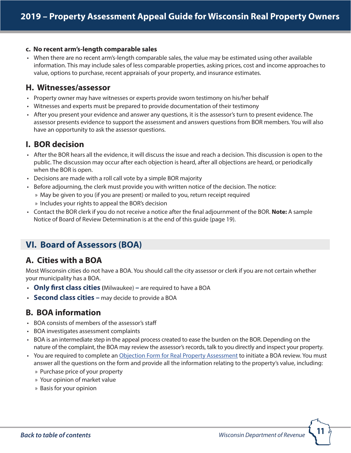#### **c. No recent arm's-length comparable sales**

• When there are no recent arm's-length comparable sales, the value may be estimated using other available information. This may include sales of less comparable properties, asking prices, cost and income approaches to value, options to purchase, recent appraisals of your property, and insurance estimates.

# **H. Witnesses/assessor**

- Property owner may have witnesses or experts provide sworn testimony on his/her behalf
- Witnesses and experts must be prepared to provide documentation of their testimony
- After you present your evidence and answer any questions, it is the assessor's turn to present evidence. The assessor presents evidence to support the assessment and answers questions from BOR members. You will also have an opportunity to ask the assessor questions.

# **I. BOR decision**

- After the BOR hears all the evidence, it will discuss the issue and reach a decision. This discussion is open to the public. The discussion may occur after each objection is heard, after all objections are heard, or periodically when the BOR is open.
- Decisions are made with a roll call vote by a simple BOR majority
- Before adjourning, the clerk must provide you with written notice of the decision. The notice:
	- » May be given to you (if you are present) or mailed to you, return receipt required
	- » Includes your rights to appeal the BOR's decision
- Contact the BOR clerk if you do not receive a notice after the final adjournment of the BOR. **Note:** A sample Notice of Board of Review Determination is at the end of this guide (page 19).

# <span id="page-10-0"></span>**VI. Board of Assessors (BOA)**

# **A. Cities with a BOA**

Most Wisconsin cities do not have a BOA. You should call the city assessor or clerk if you are not certain whether your municipality has a BOA.

- **Only first class cities (**Milwaukee) **–** are required to have a BOA
- **Second class cities –** may decide to provide a BOA

# **B. BOA information**

- BOA consists of members of the assessor's staff
- BOA investigates assessment complaints
- BOA is an intermediate step in the appeal process created to ease the burden on the BOR. Depending on the nature of the complaint, the BOA may review the assessor's records, talk to you directly and inspect your property.
- You are required to complete an [Objection Form for Real Property Assessment](https://www.revenue.wi.gov/Pages/Form/govasr-spflist.aspx) to initiate a BOA review. You must answer all the questions on the form and provide all the information relating to the property's value, including:
	- » Purchase price of your property
	- » Your opinion of market value
	- » Basis for your opinion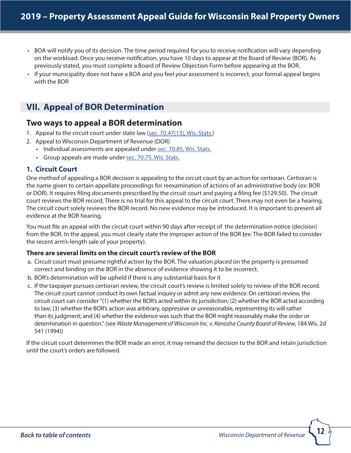- BOA will notify you of its decision. The time period required for you to receive notification will vary depending on the workload. Once you receive notification, you have 10 days to appear at the Board of Review (BOR). As previously stated, you must complete a Board of Review Objection Form before appearing at the BOR.
- If your municipality does not have a BOA and you feel your assessment is incorrect, your formal appeal begins with the BOR

# <span id="page-11-0"></span>**VII. Appeal of BOR Determination**

# **Two ways to appeal a BOR determination**

- 1. Appeal to the circuit court under state law ([sec. 70.47\(13\), Wis. Stats.\)](http://docs.legis.wisconsin.gov/statutes/statutes/70/47/13)
- 2. Appeal to Wisconsin Department of Revenue (DOR)
	- Individual assessments are appealed under [sec. 70.85, Wis. Stats.](http://docs.legis.wisconsin.gov/statutes/statutes/70/85)
	- Group appeals are made under [sec. 70.75, Wis. Stats.](http://docs.legis.wisconsin.gov/statutes/statutes/70/75)

### **1. Circuit Court**

One method of appealing a BOR decision is appealing to the circuit court by an action for certiorari. Certiorari is the name given to certain appellate proceedings for reexamination of actions of an administrative body (ex: BOR or DOR). It requires filing documents prescribed by the circuit court and paying a filing fee (\$129.50). The circuit court reviews the BOR record. There is no trial for this appeal to the circuit court. There may not even be a hearing. The circuit court solely reviews the BOR record. No new evidence may be introduced. It is important to present all evidence at the BOR hearing.

You must file an appeal with the circuit court within 90 days after receipt of the determination notice (decision) from the BOR. In the appeal, you must clearly state the improper action of the BOR **(**ex: The BOR failed to consider the recent arm's-length sale of your property).

### **There are several limits on the circuit court's review of the BOR**

- a. Circuit court must presume rightful action by the BOR. The valuation placed on the property is presumed correct and binding on the BOR in the absence of evidence showing it to be incorrect.
- b. BOR's determination will be upheld if there is any substantial basis for it
- c. If the taxpayer pursues certiorari review, the circuit court's review is limited solely to review of the BOR record. The circuit court cannot conduct its own factual inquiry or admit any new evidence. On certiorari review, the circuit court can consider "(1) whether the BOR's acted within its jurisdiction; (2) whether the BOR acted according to law; (3) whether the BOR's action was arbitrary, oppressive or unreasonable, representing its will rather than its judgment; and (4) whether the evidence was such that the BOR might reasonably make the order or determination in question." (see *Waste Management of Wisconsin Inc. v. Kenosha County Board of Review,* 184 Wis. 2d 541 (1994))

If the circuit court determines the BOR made an error, it may remand the decision to the BOR and retain jurisdiction until the court's orders are followed.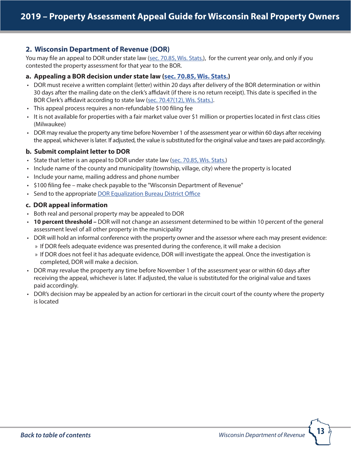### **2. Wisconsin Department of Revenue (DOR)**

You may file an appeal to DOR under state law ([sec. 70.85, Wis. Stats.](https://docs.legis.wisconsin.gov/statutes/statutes/70/85)), for the current year only, and only if you contested the property assessment for that year to the BOR.

### **a. Appealing a BOR decision under state law ([sec. 70.85, Wis. Stats.\)](http://docs.legis.wisconsin.gov/statutes/statutes/70/85)**

- DOR must receive a written complaint (letter) within 20 days after delivery of the BOR determination or within 30 days after the mailing date on the clerk's affidavit (if there is no return receipt). This date is specified in the BOR Clerk's affidavit according to state law ([sec. 70.47\(12\), Wis. Stats.\).](http://docs.legis.wisconsin.gov/statutes/statutes/70/47/12)
- This appeal process requires a non-refundable \$100 filing fee
- It is not available for properties with a fair market value over \$1 million or properties located in first class cities (Milwaukee)
- DOR may revalue the property any time before November 1 of the assessment year or within 60 days after receiving the appeal, whichever is later. If adjusted, the value is substituted for the original value and taxes are paid accordingly.

### **b. Submit complaint letter to DOR**

- State that letter is an appeal to DOR under state law ([sec. 70.85, Wis. Stats.](http://docs.legis.wisconsin.gov/statutes/statutes/70/85))
- Include name of the county and municipality (township, village, city) where the property is located
- Include your name, mailing address and phone number
- \$100 filing fee make check payable to the "Wisconsin Department of Revenue"
- Send to the appropriate [DOR Equalization Bureau District Office](https://www.revenue.wi.gov/Pages/Contact/slfboe.aspx)

### **c. DOR appeal information**

- Both real and personal property may be appealed to DOR
- **10 percent threshold** DOR will not change an assessment determined to be within 10 percent of the general assessment level of all other property in the municipality
- DOR will hold an informal conference with the property owner and the assessor where each may present evidence:
	- » If DOR feels adequate evidence was presented during the conference, it will make a decision
	- » If DOR does not feel it has adequate evidence, DOR will investigate the appeal. Once the investigation is completed, DOR will make a decision.
- DOR may revalue the property any time before November 1 of the assessment year or within 60 days after receiving the appeal, whichever is later. If adjusted, the value is substituted for the original value and taxes paid accordingly.
- DOR's decision may be appealed by an action for certiorari in the circuit court of the county where the property is located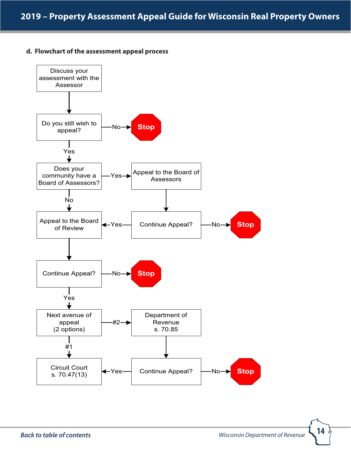### **d. Flowchart of the assessment appeal process**

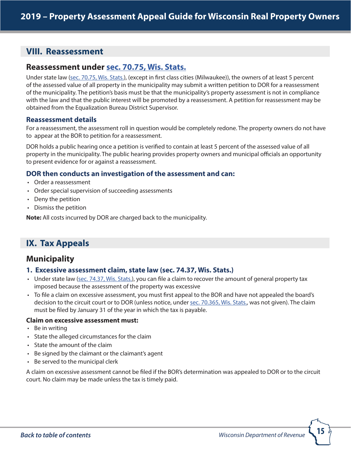# <span id="page-14-0"></span>**VIII. Reassessment**

# **Reassessment under [sec. 70.75, Wis. Stats.](http://docs.legis.wisconsin.gov/statutes/statutes/70/75)**

Under state law ([sec. 70.75, Wis. Stats.\)](http://docs.legis.wisconsin.gov/statutes/statutes/70/75), (except in first class cities (Milwaukee)), the owners of at least 5 percent of the assessed value of all property in the municipality may submit a written petition to DOR for a reassessment of the municipality. The petition's basis must be that the municipality's property assessment is not in compliance with the law and that the public interest will be promoted by a reassessment. A petition for reassessment may be obtained from the Equalization Bureau District Supervisor.

### **Reassessment details**

For a reassessment, the assessment roll in question would be completely redone. The property owners do not have to appear at the BOR to petition for a reassessment.

DOR holds a public hearing once a petition is verified to contain at least 5 percent of the assessed value of all property in the municipality. The public hearing provides property owners and municipal officials an opportunity to present evidence for or against a reassessment.

### **DOR then conducts an investigation of the assessment and can:**

- Order a reassessment
- Order special supervision of succeeding assessments
- Deny the petition
- Dismiss the petition

**Note:** All costs incurred by DOR are charged back to the municipality.

# <span id="page-14-1"></span>**IX. Tax Appeals**

# **Municipality**

### **1. Excessive assessment claim, state law [\(sec. 74.37, Wis. Stats.\)](https://docs.legis.wisconsin.gov/statutes/statutes/74/V/37)**

- Under state law ([sec. 74.37, Wis. Stats.\)](https://docs.legis.wisconsin.gov/statutes/statutes/74/V/37), you can file a claim to recover the amount of general property tax imposed because the assessment of the property was excessive
- To file a claim on excessive assessment, you must first appeal to the BOR and have not appealed the board's decision to the circuit court or to DOR (unless notice, under [sec. 70.365, Wis. Stats.,](http://docs.legis.wisconsin.gov/statutes/statutes/70/365) was not given). The claim must be filed by January 31 of the year in which the tax is payable.

### **Claim on excessive assessment must:**

- Be in writing
- State the alleged circumstances for the claim
- State the amount of the claim
- Be signed by the claimant or the claimant's agent
- Be served to the municipal clerk

A claim on excessive assessment cannot be filed if the BOR's determination was appealed to DOR or to the circuit court. No claim may be made unless the tax is timely paid.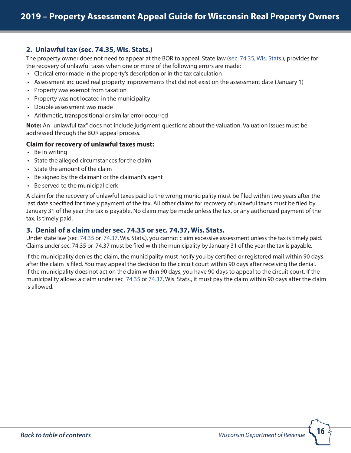### **2. Unlawful tax ([sec. 74.35, Wis. Stats.\)](http://docs.legis.wisconsin.gov/statutes/statutes/74/V/35)**

The property owner does not need to appear at the BOR to appeal. State law [\(sec. 74.35, Wis. Stats.\)](http://docs.legis.wisconsin.gov/statutes/statutes/74/V/35), provides for the recovery of unlawful taxes when one or more of the following errors are made:

- Clerical error made in the property's description or in the tax calculation
- Assessment included real property improvements that did not exist on the assessment date (January 1)
- Property was exempt from taxation
- Property was not located in the municipality
- Double assessment was made
- Arithmetic, transpositional or similar error occurred

**Note:** An "unlawful tax" does not include judgment questions about the valuation. Valuation issues must be addressed through the BOR appeal process.

### **Claim for recovery of unlawful taxes must:**

- Be in writing
- State the alleged circumstances for the claim
- State the amount of the claim
- Be signed by the claimant or the claimant's agent
- Be served to the municipal clerk

A claim for the recovery of unlawful taxes paid to the wrong municipality must be filed within two years after the last date specified for timely payment of the tax. All other claims for recovery of unlawful taxes must be filed by January 31 of the year the tax is payable. No claim may be made unless the tax, or any authorized payment of the tax, is timely paid.

### **3. Denial of a claim under [sec. 74.35](http://docs.legis.wisconsin.gov/statutes/statutes/74/V/35) or [sec. 74.37,](http://docs.legis.wisconsin.gov/statutes/statutes/74/V/37) Wis. Stats.**

Under state law (sec. [74.35](http://docs.legis.wisconsin.gov/statutes/statutes/74/V/35) or [74.37](http://docs.legis.wisconsin.gov/statutes/statutes/74/V/37), Wis. Stats.), you cannot claim excessive assessment unless the tax is timely paid. Claims under sec. [74.35](http://docs.legis.wisconsin.gov/statutes/statutes/74/V/35) or [74.37](http://docs.legis.wisconsin.gov/statutes/statutes/74/V/37) must be filed with the municipality by January 31 of the year the tax is payable.

If the municipality denies the claim, the municipality must notify you by certified or registered mail within 90 days after the claim is filed. You may appeal the decision to the circuit court within 90 days after receiving the denial. If the municipality does not act on the claim within 90 days, you have 90 days to appeal to the circuit court. If the municipality allows a claim under sec. [74.35](http://docs.legis.wisconsin.gov/statutes/statutes/74/V/35) or [74.37,](http://docs.legis.wisconsin.gov/statutes/statutes/74/V/37) Wis. Stats., it must pay the claim within 90 days after the claim is allowed.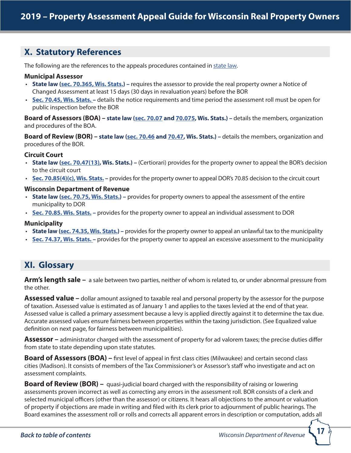# <span id="page-16-0"></span>**X. Statutory References**

The following are the references to the appeals procedures contained in [state law.](http://docs.legis.wisconsin.gov/statutes/prefaces/toc)

#### **Municipal Assessor**

- **State law ([sec. 70.365, Wis. Stats.\)](http://docs.legis.wisconsin.gov/statutes/statutes/70/365) –** requires the assessor to provide the real property owner a Notice of Changed Assessment at least 15 days (30 days in revaluation years) before the BOR
- **[Sec. 70.45, Wis. Stats. –](http://docs.legis.wisconsin.gov/statutes/statutes/70/45)** details the notice requirements and time period the assessment roll must be open for public inspection before the BOR

**Board of Assessors (BOA) – state law ([sec. 70.07](http://docs.legis.wisconsin.gov/statutes/statutes/70/07) and [70.075](http://docs.legis.wisconsin.gov/statutes/statutes/70/075), Wis. Stats.) –** details the members, organization and procedures of the BOA.

**Board of Review (BOR) – state law ([sec. 70.46](http://docs.legis.wisconsin.gov/statutes/statutes/70/46) and [70.47](http://docs.legis.wisconsin.gov/statutes/statutes/70/47), Wis. Stats.) –** details the members, organization and procedures of the BOR.

### **Circuit Court**

- **State law ([sec. 70.47\(13\),](http://docs.legis.wisconsin.gov/statutes/statutes/70/47/13) Wis. Stats.)** (Certiorari) provides for the property owner to appeal the BOR's decision to the circuit court
- **[Sec. 70.85\(4\)\(c\), Wis. Stats.](http://docs.legis.wisconsin.gov/statutes/statutes/70/85/4/c)** provides for the property owner to appeal DOR's 70.85 decision to the circuit court

#### **Wisconsin Department of Revenue**

- **State law ([sec. 70.75, Wis. Stats.\)](http://docs.legis.wisconsin.gov/statutes/statutes/70/75) –** provides for property owners to appeal the assessment of the entire municipality to DOR
- **[Sec. 70.85. Wis. Stats.](https://docs.legis.wisconsin.gov/statutes/statutes/70/85) –** provides for the property owner to appeal an individual assessment to DOR

### **Municipality**

- **State law ([sec. 74.35, Wis. Stats.](http://docs.legis.wisconsin.gov/statutes/statutes/74/V/35)) –** provides for the property owner to appeal an unlawful tax to the municipality
- **[Sec. 74.37, Wis. Stats. –](http://docs.legis.wisconsin.gov/statutes/statutes/74/V/37)** provides for the property owner to appeal an excessive assessment to the municipality

# <span id="page-16-1"></span>**XI. Glossary**

**Arm's length sale –** a sale between two parties, neither of whom is related to, or under abnormal pressure from the other.

**Assessed value –** dollar amount assigned to taxable real and personal property by the assessor for the purpose of taxation. Assessed value is estimated as of January 1 and applies to the taxes levied at the end of that year. Assessed value is called a primary assessment because a levy is applied directly against it to determine the tax due. Accurate assessed values ensure fairness between properties within the taxing jurisdiction. (See Equalized value definition on next page, for fairness between municipalities).

**Assessor –** administrator charged with the assessment of property for ad valorem taxes; the precise duties differ from state to state depending upon state statutes.

**Board of Assessors (BOA)** – first level of appeal in first class cities (Milwaukee) and certain second class cities (Madison). It consists of members of the Tax Commissioner's or Assessor's staff who investigate and act on assessment complaints.

**Board of Review (BOR) –** quasi-judicial board charged with the responsibility of raising or lowering assessments proven incorrect as well as correcting any errors in the assessment roll. BOR consists of a clerk and selected municipal officers (other than the assessor) or citizens. It hears all objections to the amount or valuation of property if objections are made in writing and filed with its clerk prior to adjournment of public hearings. The Board examines the assessment roll or rolls and corrects all apparent errors in description or computation, adds all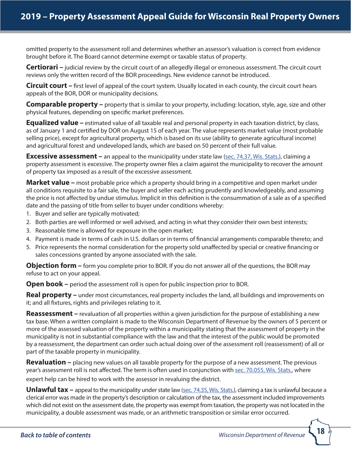omitted property to the assessment roll and determines whether an assessor's valuation is correct from evidence brought before it. The Board cannot determine exempt or taxable status of property.

**Certiorari** – judicial review by the circuit court of an allegedly illegal or erroneous assessment. The circuit court reviews only the written record of the BOR proceedings. New evidence cannot be introduced.

**Circuit court –** first level of appeal of the court system. Usually located in each county, the circuit court hears appeals of the BOR, DOR or municipality decisions.

**Comparable property –** property that is similar to your property, including: location, style, age, size and other physical features, depending on specific market preferences.

**Equalized value** – estimated value of all taxable real and personal property in each taxation district, by class, as of January 1 and certified by DOR on August 15 of each year. The value represents market value (most probable selling price), except for agricultural property, which is based on its use (ability to generate agricultural income) and agricultural forest and undeveloped lands, which are based on 50 percent of their full value.

**Excessive assessment** – an appeal to the municipality under state law [\(sec. 74.37, Wis. Stats.\)](http://docs.legis.wisconsin.gov/statutes/statutes/74/V/37), claiming a property assessment is excessive. The property owner files a claim against the municipality to recover the amount of property tax imposed as a result of the excessive assessment.

**Market value –** most probable price which a property should bring in a competitive and open market under all conditions requisite to a fair sale, the buyer and seller each acting prudently and knowledgeably, and assuming the price is not affected by undue stimulus. Implicit in this definition is the consummation of a sale as of a specified date and the passing of title from seller to buyer under conditions whereby:

- 1. Buyer and seller are typically motivated;
- 2. Both parties are well informed or well advised, and acting in what they consider their own best interests;
- 3. Reasonable time is allowed for exposure in the open market;
- 4. Payment is made in terms of cash in U.S. dollars or in terms of financial arrangements comparable thereto; and
- 5. Price represents the normal consideration for the property sold unaffected by special or creative financing or sales concessions granted by anyone associated with the sale.

**Objection form –** form you complete prior to BOR. If you do not answer all of the questions, the BOR may refuse to act on your appeal.

**Open book –** period the assessment roll is open for public inspection prior to BOR.

**Real property** – under most circumstances, real property includes the land, all buildings and improvements on it; and all fixtures, rights and privileges relating to it.

**Reassessment** – revaluation of all properties within a given jurisdiction for the purpose of establishing a new tax base. When a written complaint is made to the Wisconsin Department of Revenue by the owners of 5 percent or more of the assessed valuation of the property within a municipality stating that the assessment of property in the municipality is not in substantial compliance with the law and that the interest of the public would be promoted by a reassessment, the department can order such actual doing over of the assessment roll (reassessment) of all or part of the taxable property in municipality.

**Revaluation –** placing new values on all taxable property for the purpose of a new assessment. The previous year's assessment roll is not affected. The term is often used in conjunction with [sec. 70.055, Wis. Stats.](http://docs.legis.wisconsin.gov/statutes/statutes/70/055), where expert help can be hired to work with the assessor in revaluing the district.

**Unlawful tax** – appeal to the municipality under state law [\(sec. 74.35, Wis. Stats.\)](http://docs.legis.wisconsin.gov/statutes/statutes/74/V/35), claiming a tax is unlawful because a clerical error was made in the property's description or calculation of the tax, the assessment included improvements which did not exist on the assessment date, the property was exempt from taxation, the property was not located in the municipality, a double assessment was made, or an arithmetic transposition or similar error occurred.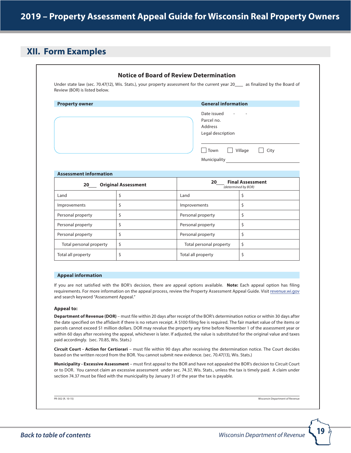# <span id="page-18-0"></span>**XII. Form Examples**

| <b>Property owner</b>         |                            | <b>General information</b>                                                               |                                                |  |  |  |
|-------------------------------|----------------------------|------------------------------------------------------------------------------------------|------------------------------------------------|--|--|--|
|                               |                            | Date issued<br>Parcel no.<br>Address<br>Legal description<br>Town<br><b>Municipality</b> | $\Box$ Village<br>$\Box$ City                  |  |  |  |
| <b>Assessment information</b> |                            |                                                                                          |                                                |  |  |  |
| 20                            | <b>Original Assessment</b> | 20                                                                                       | <b>Final Assessment</b><br>(determined by BOR) |  |  |  |
| Land                          | \$                         | Land                                                                                     | \$                                             |  |  |  |
| Improvements                  | \$                         | Improvements                                                                             | \$                                             |  |  |  |
| Personal property             | \$                         | Personal property                                                                        | \$                                             |  |  |  |
| Personal property             | \$                         | Personal property                                                                        | \$                                             |  |  |  |
| Personal property             | \$                         | Personal property                                                                        | \$                                             |  |  |  |
| Total personal property       | \$                         | Total personal property                                                                  | \$                                             |  |  |  |
| Total all property            | \$                         | Total all property                                                                       | \$                                             |  |  |  |

**Appeal to:**

and search keyword "Assessment Appeal."

**Department of Revenue (DOR)** – must file within 20 days after receipt of the BOR's determination notice or within 30 days after the date specified on the affidavit if there is no return receipt. A \$100 filing fee is required. The fair market value of the items or parcels cannot exceed \$1 million dollars. DOR may revalue the property any time before November 1 of the assessment year or within 60 days after receiving the appeal, whichever is later. If adjusted, the value is substituted for the original value and taxes paid accordingly. (sec. 70.85, Wis. Stats.)

**Circuit Court - Action for Certiorari** – must file within 90 days after receiving the determination notice. The Court decides based on the written record from the BOR. You cannot submit new evidence. (sec. 70.47(13), Wis. Stats.)

**Municipality - Excessive Assessment** – must first appeal to the BOR and have not appealed the BOR's decision to Circuit Court or to DOR. You cannot claim an excessive assessment under sec. 74.37, Wis. Stats., unless the tax is timely paid. A claim under section 74.37 must be filed with the municipality by January 31 of the year the tax is payable.

PR-302 (R. 10-15) Wisconsin Department of Revenue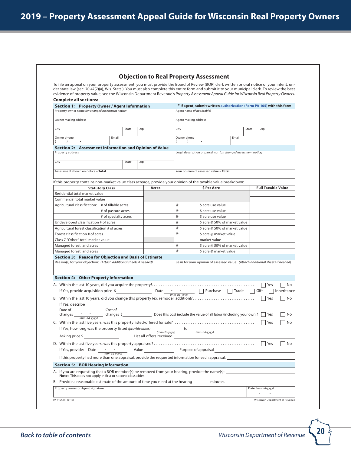| <b>Objection to Real Property Assessment</b> |  |  |  |
|----------------------------------------------|--|--|--|
|----------------------------------------------|--|--|--|

<span id="page-19-0"></span>To file an appeal on your property assessment, you must provide the Board of Review (BOR) clerk written or oral notice of your intent, under state law (sec. 70.47(7)(a), Wis. Stats.). You must also complete this entire form and submit it to your municipal clerk. To review the best evidence of property value, see the Wisconsin Department Revenue's *Property Assessment Appeal Guide for Wisconsin Real Property Owners*. **Complete all sections:**

| Section 1: Property Owner / Agent Information                                                                                                                                                                               |       |     |                          |                       | * If agent, submit written authorization (Form PA-105) with this form                                    |       |       |                           |                                           |
|-----------------------------------------------------------------------------------------------------------------------------------------------------------------------------------------------------------------------------|-------|-----|--------------------------|-----------------------|----------------------------------------------------------------------------------------------------------|-------|-------|---------------------------|-------------------------------------------|
| Property owner name (on changed assessment notice)                                                                                                                                                                          |       |     |                          |                       | Agent name (if applicable)                                                                               |       |       |                           |                                           |
| Owner mailing address                                                                                                                                                                                                       |       |     |                          | Agent mailing address |                                                                                                          |       |       |                           |                                           |
| City                                                                                                                                                                                                                        | State | Zip |                          | City                  |                                                                                                          |       | State | Zip                       |                                           |
| Owner phone<br>Email<br>$\lambda$                                                                                                                                                                                           |       |     |                          | Owner phone           |                                                                                                          | Email |       |                           |                                           |
| Section 2: Assessment Information and Opinion of Value                                                                                                                                                                      |       |     |                          |                       |                                                                                                          |       |       |                           |                                           |
| Property address                                                                                                                                                                                                            |       |     |                          |                       | Legal description or parcel no. (on changed assessment notice)                                           |       |       |                           |                                           |
| City                                                                                                                                                                                                                        | State | Zip |                          |                       |                                                                                                          |       |       |                           |                                           |
|                                                                                                                                                                                                                             |       |     |                          |                       |                                                                                                          |       |       |                           |                                           |
| Assessment shown on notice - Total                                                                                                                                                                                          |       |     |                          |                       | Your opinion of assessed value - Total                                                                   |       |       |                           |                                           |
| If this property contains non-market value class acreage, provide your opinion of the taxable value breakdown:                                                                                                              |       |     |                          |                       |                                                                                                          |       |       |                           |                                           |
| <b>Statutory Class</b>                                                                                                                                                                                                      |       |     | Acres                    |                       | \$ Per Acre                                                                                              |       |       | <b>Full Taxable Value</b> |                                           |
| Residential total market value                                                                                                                                                                                              |       |     |                          |                       |                                                                                                          |       |       |                           |                                           |
| Commercial total market value                                                                                                                                                                                               |       |     |                          |                       |                                                                                                          |       |       |                           |                                           |
| Agricultural classification: # of tillable acres                                                                                                                                                                            |       |     |                          | @                     | \$ acre use value                                                                                        |       |       |                           |                                           |
| # of pasture acres                                                                                                                                                                                                          |       |     |                          | @                     | \$ acre use value                                                                                        |       |       |                           |                                           |
| # of specialty acres                                                                                                                                                                                                        |       |     |                          | $\circleda$           | \$ acre use value                                                                                        |       |       |                           |                                           |
| Undeveloped classification # of acres                                                                                                                                                                                       |       |     |                          | $\circleda$           | \$ acre @ 50% of market value                                                                            |       |       |                           |                                           |
| Agricultural forest classification # of acres                                                                                                                                                                               |       |     |                          | @                     | \$ acre @ 50% of market value                                                                            |       |       |                           |                                           |
| Forest classification # of acres                                                                                                                                                                                            |       |     |                          | $^{\circ}$            | \$ acre @ market value                                                                                   |       |       |                           |                                           |
|                                                                                                                                                                                                                             |       |     |                          |                       |                                                                                                          |       |       |                           |                                           |
|                                                                                                                                                                                                                             |       |     |                          |                       | market value                                                                                             |       |       |                           |                                           |
|                                                                                                                                                                                                                             |       |     |                          | @                     | \$ acre @ 50% of market value                                                                            |       |       |                           |                                           |
| Class 7 "Other" total market value<br>Managed forest land acres<br>Managed forest land acres<br>Section 3: Reason for Objection and Basis of Estimate<br>Reason(s) for your objection: (Attach additional sheets if needed) |       |     |                          | $^{\circ}$            | \$ acre @ market value<br>Basis for your opinion of assessed value: (Attach additional sheets if needed) |       |       |                           |                                           |
| If Yes, provide acquisition price $\zeta$                                                                                                                                                                                   |       |     | Date                     |                       | - - - Purchase Trade                                                                                     |       |       | Yes<br>Gift<br>  Yes      |                                           |
| Section 4: Other Property Information<br>B. Within the last 10 years, did you change this property (ex: remodel, addition)?<br>If Yes, describe<br>Cost of<br>Date of                                                       |       |     |                          |                       |                                                                                                          |       |       | Yes                       |                                           |
| If Yes, how long was the property listed (provide dates) $\frac{1}{(mm\text{-}dd\text{-}yyyy)}$ to $\frac{1}{(mm\text{-}dd\text{-}yyyy)}$<br>Asking price \$                                                                |       |     | List all offers received |                       | <b>Contract Contract Contract</b>                                                                        |       |       |                           |                                           |
| If Yes, provide: Date<br>$(mm$ - $dd$ -yyyy)<br>If this property had more than one appraisal, provide the requested information for each appraisal.                                                                         |       |     |                          |                       | Value Purpose of appraisal                                                                               |       |       | $ $ Yes                   |                                           |
|                                                                                                                                                                                                                             |       |     |                          |                       |                                                                                                          |       |       |                           |                                           |
| <b>Section 5: BOR Hearing Information</b><br>A. If you are requesting that a BOR member(s) be removed from your hearing, provide the name(s):                                                                               |       |     |                          |                       |                                                                                                          |       |       |                           |                                           |
| Note: This does not apply in first or second class cities.<br>B. Provide a reasonable estimate of the amount of time you need at the hearing                                                                                |       |     |                          |                       | minutes.                                                                                                 |       |       |                           | No<br>Inheritance<br>No<br>No<br>No<br>No |

Ù,